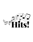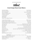#### Jesuit Drama proudly presents



## **Great Songs from Great Shows**

#### **Jesuit Drama** | *Student-Centered…Process-Oriented…in the Ignatian Tradition*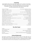## **Featuring**

Brooke Abildgaard, Marcos Alvarez, Greta Crumley, Jacob De La Torre, Livi Eichman, Antony Ghattas, Audrey Godlove, Gian Gonzalez, Emma May Gordon, Maggie Hanson, Jack Hemmert, Larriah Jackson, Nicholas Kasten, William Lee, Andrew McDonald, Gabby Neach, Sean Vincent Paredes, Evan Pettibone, Victor Reyes, Dominique Russell, Adilene Serrato, Samantha Snapp, Imani Thiara, Samantha Villena & Lauren Weideman

| At the Ballet" (from A Chorus Line)Female Ensemble, featuring Brooke, Emma May, Greta & Audrey" |  |
|-------------------------------------------------------------------------------------------------|--|
|                                                                                                 |  |
|                                                                                                 |  |
|                                                                                                 |  |
| "I'm Gonna Wash That Man Right Outta My Hair" (from South Pacific)Female Ensemble               |  |
|                                                                                                 |  |
|                                                                                                 |  |
|                                                                                                 |  |
|                                                                                                 |  |
|                                                                                                 |  |
|                                                                                                 |  |
|                                                                                                 |  |

### **The Hits! Band**

### **Acknowledgements**

Alyssa Benjamin; JHS Buildings & Grounds; Kasey Cardinale; John Cargile; Chris Chandley; Megan Chaney; Julia Clark; Virginia Clemmens; Terri Cuddy; Fadia Desmond; Hannah Frech; Ed Harris, S.J.; Mary Harrison; Leah Heine; Vicki Horvath; The Jesuit Community; Tammi Kormbaker; Gerry Lane; Anne Long; Maureen Longyear; John McGarry, S.J.; "Metal-of-the-Day"; Dean Mora; Colin O'Connor; Tom O'Neill, S.J.; Reynaldo Rangel; Carol Rose; Elizabeth Sands; Brian Skewis; Paul Speers; Rod Theodule; Margie Wagner; Julie Winkleman; Michael Wood; & Julia Yang